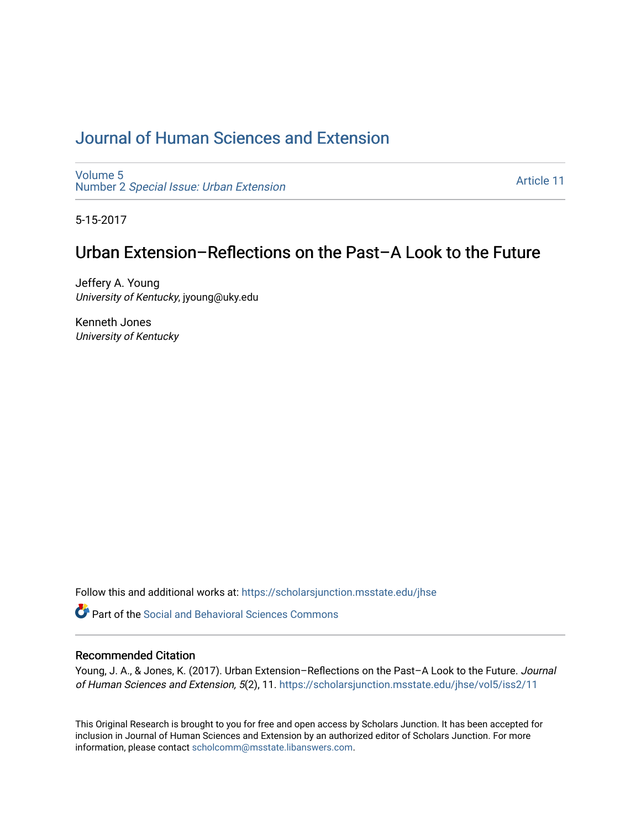# [Journal of Human Sciences and Extension](https://scholarsjunction.msstate.edu/jhse)

[Volume 5](https://scholarsjunction.msstate.edu/jhse/vol5) Number 2 [Special Issue: Urban Extension](https://scholarsjunction.msstate.edu/jhse/vol5/iss2) 

[Article 11](https://scholarsjunction.msstate.edu/jhse/vol5/iss2/11) 

5-15-2017

# Urban Extension–Reflections on the Past–A Look to the Future

Jeffery A. Young University of Kentucky, jyoung@uky.edu

Kenneth Jones University of Kentucky

Follow this and additional works at: [https://scholarsjunction.msstate.edu/jhse](https://scholarsjunction.msstate.edu/jhse?utm_source=scholarsjunction.msstate.edu%2Fjhse%2Fvol5%2Fiss2%2F11&utm_medium=PDF&utm_campaign=PDFCoverPages)

**C** Part of the Social and Behavioral Sciences Commons

#### Recommended Citation

Young, J. A., & Jones, K. (2017). Urban Extension-Reflections on the Past-A Look to the Future. Journal of Human Sciences and Extension, 5(2), 11. [https://scholarsjunction.msstate.edu/jhse/vol5/iss2/11](https://scholarsjunction.msstate.edu/jhse/vol5/iss2/11?utm_source=scholarsjunction.msstate.edu%2Fjhse%2Fvol5%2Fiss2%2F11&utm_medium=PDF&utm_campaign=PDFCoverPages) 

This Original Research is brought to you for free and open access by Scholars Junction. It has been accepted for inclusion in Journal of Human Sciences and Extension by an authorized editor of Scholars Junction. For more information, please contact [scholcomm@msstate.libanswers.com](mailto:scholcomm@msstate.libanswers.com).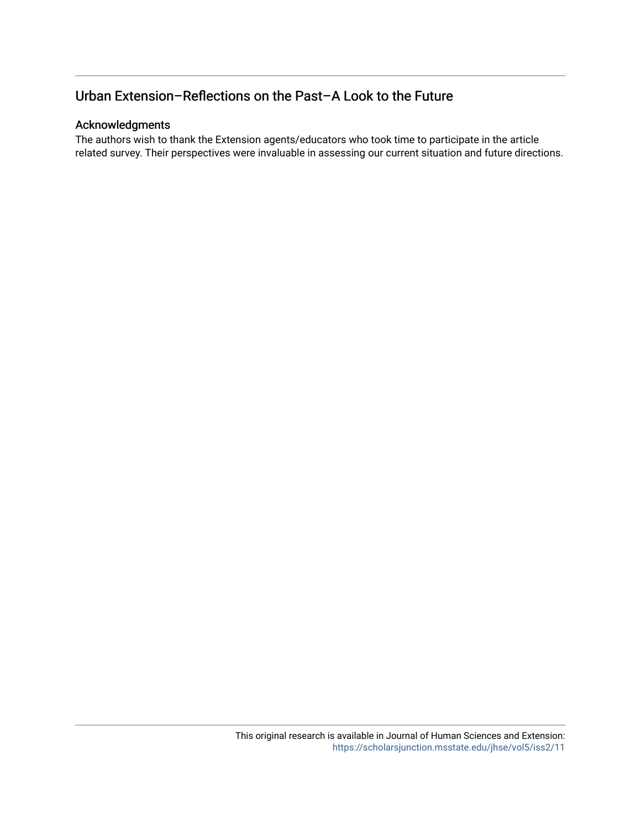# Urban Extension–Reflections on the Past–A Look to the Future

## Acknowledgments

The authors wish to thank the Extension agents/educators who took time to participate in the article related survey. Their perspectives were invaluable in assessing our current situation and future directions.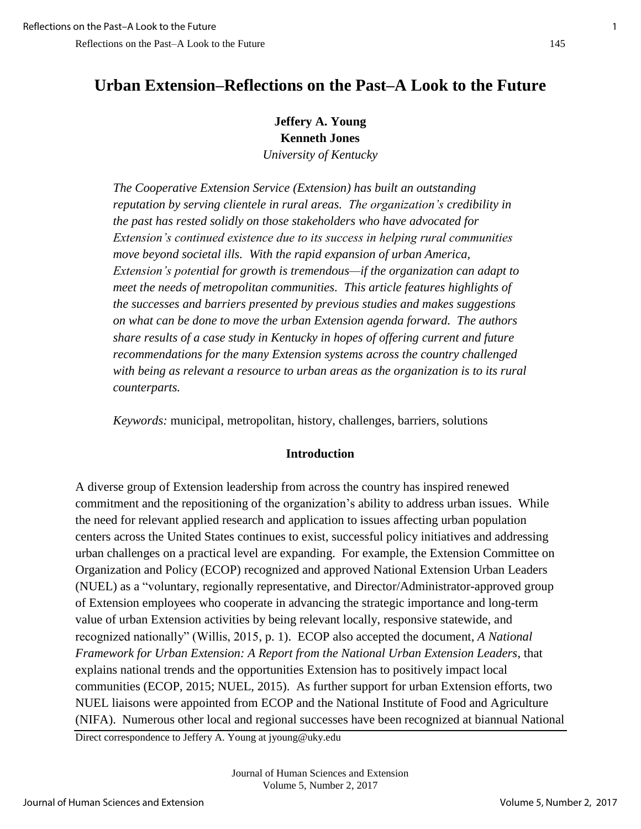# **Urban Extension–Reflections on the Past–A Look to the Future**

**Jeffery A. Young Kenneth Jones**

*University of Kentucky* 

*The Cooperative Extension Service (Extension) has built an outstanding reputation by serving clientele in rural areas. The organization's credibility in the past has rested solidly on those stakeholders who have advocated for Extension's continued existence due to its success in helping rural communities move beyond societal ills. With the rapid expansion of urban America, Extension's potential for growth is tremendous—if the organization can adapt to meet the needs of metropolitan communities. This article features highlights of the successes and barriers presented by previous studies and makes suggestions on what can be done to move the urban Extension agenda forward. The authors share results of a case study in Kentucky in hopes of offering current and future recommendations for the many Extension systems across the country challenged with being as relevant a resource to urban areas as the organization is to its rural counterparts.* 

*Keywords:* municipal, metropolitan, history, challenges, barriers, solutions

#### **Introduction**

A diverse group of Extension leadership from across the country has inspired renewed commitment and the repositioning of the organization's ability to address urban issues. While the need for relevant applied research and application to issues affecting urban population centers across the United States continues to exist, successful policy initiatives and addressing urban challenges on a practical level are expanding. For example, the Extension Committee on Organization and Policy (ECOP) recognized and approved National Extension Urban Leaders (NUEL) as a "voluntary, regionally representative, and Director/Administrator-approved group of Extension employees who cooperate in advancing the strategic importance and long-term value of urban Extension activities by being relevant locally, responsive statewide, and recognized nationally" (Willis, 2015, p. 1). ECOP also accepted the document, *A National Framework for Urban Extension: A Report from the National Urban Extension Leaders*, that explains national trends and the opportunities Extension has to positively impact local communities (ECOP, 2015; NUEL, 2015). As further support for urban Extension efforts, two NUEL liaisons were appointed from ECOP and the National Institute of Food and Agriculture (NIFA). Numerous other local and regional successes have been recognized at biannual National

Direct correspondence to Jeffery A. Young at jyoung@uky.edu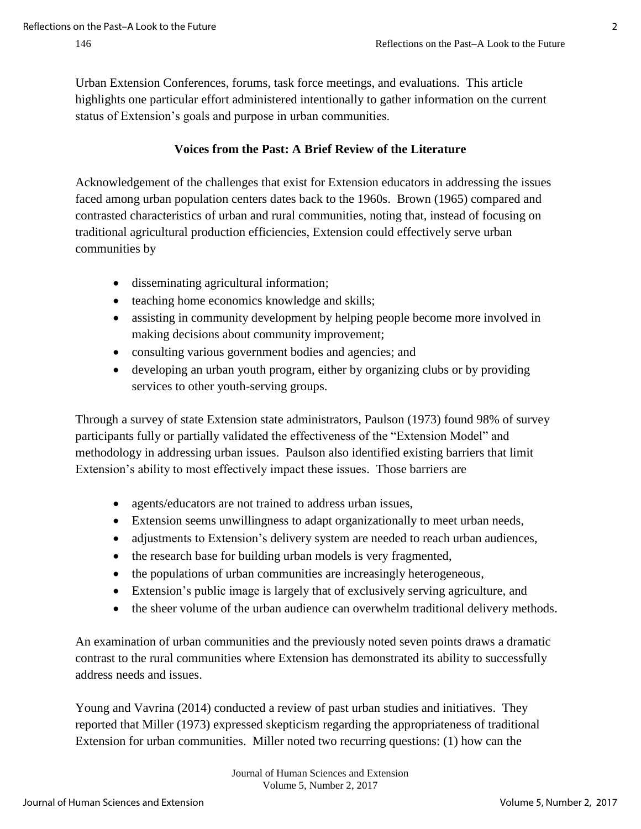Urban Extension Conferences, forums, task force meetings, and evaluations. This article highlights one particular effort administered intentionally to gather information on the current status of Extension's goals and purpose in urban communities.

# **Voices from the Past: A Brief Review of the Literature**

Acknowledgement of the challenges that exist for Extension educators in addressing the issues faced among urban population centers dates back to the 1960s. Brown (1965) compared and contrasted characteristics of urban and rural communities, noting that, instead of focusing on traditional agricultural production efficiencies, Extension could effectively serve urban communities by

- disseminating agricultural information;
- teaching home economics knowledge and skills;
- assisting in community development by helping people become more involved in making decisions about community improvement;
- consulting various government bodies and agencies; and
- developing an urban youth program, either by organizing clubs or by providing services to other youth-serving groups.

Through a survey of state Extension state administrators, Paulson (1973) found 98% of survey participants fully or partially validated the effectiveness of the "Extension Model" and methodology in addressing urban issues. Paulson also identified existing barriers that limit Extension's ability to most effectively impact these issues. Those barriers are

- agents/educators are not trained to address urban issues,
- Extension seems unwillingness to adapt organizationally to meet urban needs,
- adjustments to Extension's delivery system are needed to reach urban audiences,
- the research base for building urban models is very fragmented,
- the populations of urban communities are increasingly heterogeneous,
- Extension's public image is largely that of exclusively serving agriculture, and
- the sheer volume of the urban audience can overwhelm traditional delivery methods.

An examination of urban communities and the previously noted seven points draws a dramatic contrast to the rural communities where Extension has demonstrated its ability to successfully address needs and issues.

Young and Vavrina (2014) conducted a review of past urban studies and initiatives. They reported that Miller (1973) expressed skepticism regarding the appropriateness of traditional Extension for urban communities. Miller noted two recurring questions: (1) how can the

> Journal of Human Sciences and Extension Volume 5, Number 2, 2017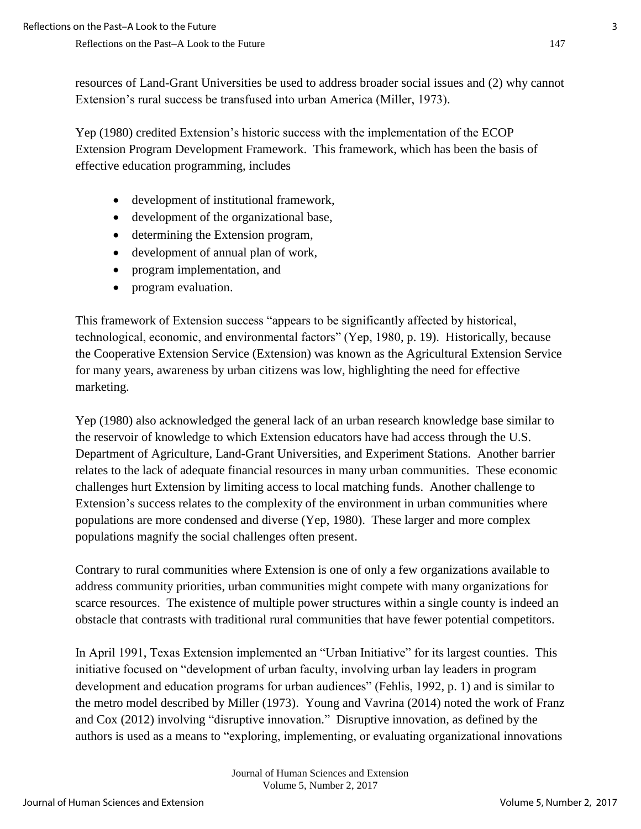resources of Land-Grant Universities be used to address broader social issues and (2) why cannot Extension's rural success be transfused into urban America (Miller, 1973).

Yep (1980) credited Extension's historic success with the implementation of the ECOP Extension Program Development Framework. This framework, which has been the basis of effective education programming, includes

- development of institutional framework,
- development of the organizational base,
- determining the Extension program,
- development of annual plan of work,
- program implementation, and
- program evaluation.

This framework of Extension success "appears to be significantly affected by historical, technological, economic, and environmental factors" (Yep, 1980, p. 19). Historically, because the Cooperative Extension Service (Extension) was known as the Agricultural Extension Service for many years, awareness by urban citizens was low, highlighting the need for effective marketing.

Yep (1980) also acknowledged the general lack of an urban research knowledge base similar to the reservoir of knowledge to which Extension educators have had access through the U.S. Department of Agriculture, Land-Grant Universities, and Experiment Stations. Another barrier relates to the lack of adequate financial resources in many urban communities. These economic challenges hurt Extension by limiting access to local matching funds. Another challenge to Extension's success relates to the complexity of the environment in urban communities where populations are more condensed and diverse (Yep, 1980). These larger and more complex populations magnify the social challenges often present.

Contrary to rural communities where Extension is one of only a few organizations available to address community priorities, urban communities might compete with many organizations for scarce resources. The existence of multiple power structures within a single county is indeed an obstacle that contrasts with traditional rural communities that have fewer potential competitors.

In April 1991, Texas Extension implemented an "Urban Initiative" for its largest counties. This initiative focused on "development of urban faculty, involving urban lay leaders in program development and education programs for urban audiences" (Fehlis, 1992, p. 1) and is similar to the metro model described by Miller (1973). Young and Vavrina (2014) noted the work of Franz and Cox (2012) involving "disruptive innovation." Disruptive innovation, as defined by the authors is used as a means to "exploring, implementing, or evaluating organizational innovations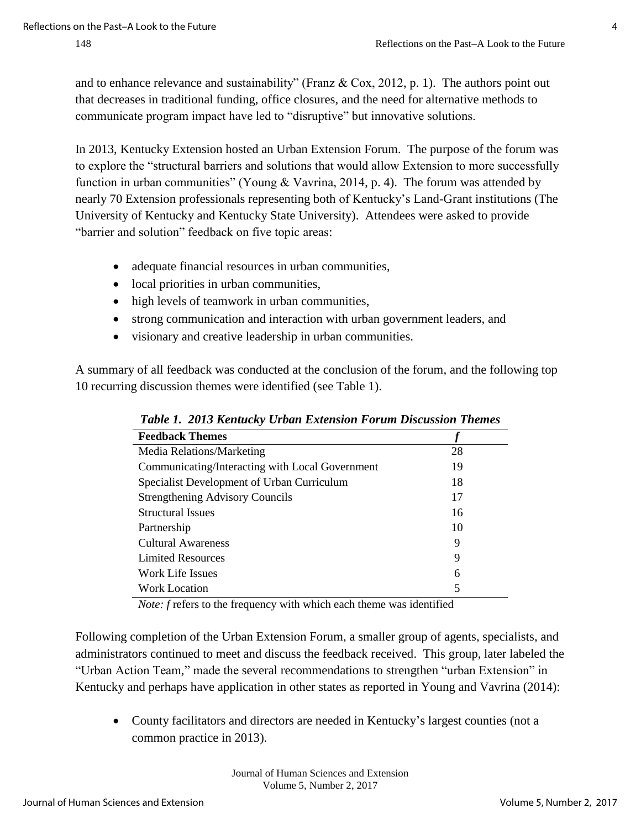and to enhance relevance and sustainability" (Franz  $\&$  Cox, 2012, p. 1). The authors point out that decreases in traditional funding, office closures, and the need for alternative methods to communicate program impact have led to "disruptive" but innovative solutions.

In 2013, Kentucky Extension hosted an Urban Extension Forum. The purpose of the forum was to explore the "structural barriers and solutions that would allow Extension to more successfully function in urban communities" (Young & Vavrina, 2014, p. 4). The forum was attended by nearly 70 Extension professionals representing both of Kentucky's Land-Grant institutions (The University of Kentucky and Kentucky State University). Attendees were asked to provide "barrier and solution" feedback on five topic areas:

- adequate financial resources in urban communities,
- local priorities in urban communities,
- high levels of teamwork in urban communities,
- strong communication and interaction with urban government leaders, and
- visionary and creative leadership in urban communities.

A summary of all feedback was conducted at the conclusion of the forum, and the following top 10 recurring discussion themes were identified (see Table 1).

| Twore It follo hemment clown Extension I of when bisewsstone Inchets |  |  |
|----------------------------------------------------------------------|--|--|
|                                                                      |  |  |
| 28                                                                   |  |  |
| 19                                                                   |  |  |
| 18                                                                   |  |  |
| 17                                                                   |  |  |
| 16                                                                   |  |  |
| 10                                                                   |  |  |
| 9                                                                    |  |  |
| 9                                                                    |  |  |
| 6                                                                    |  |  |
| 5                                                                    |  |  |
|                                                                      |  |  |

*Table 1. 2013 Kentucky Urban Extension Forum Discussion Themes* 

*Note: f* refers to the frequency with which each theme was identified

Following completion of the Urban Extension Forum, a smaller group of agents, specialists, and administrators continued to meet and discuss the feedback received. This group, later labeled the "Urban Action Team," made the several recommendations to strengthen "urban Extension" in Kentucky and perhaps have application in other states as reported in Young and Vavrina (2014):

 County facilitators and directors are needed in Kentucky's largest counties (not a common practice in 2013).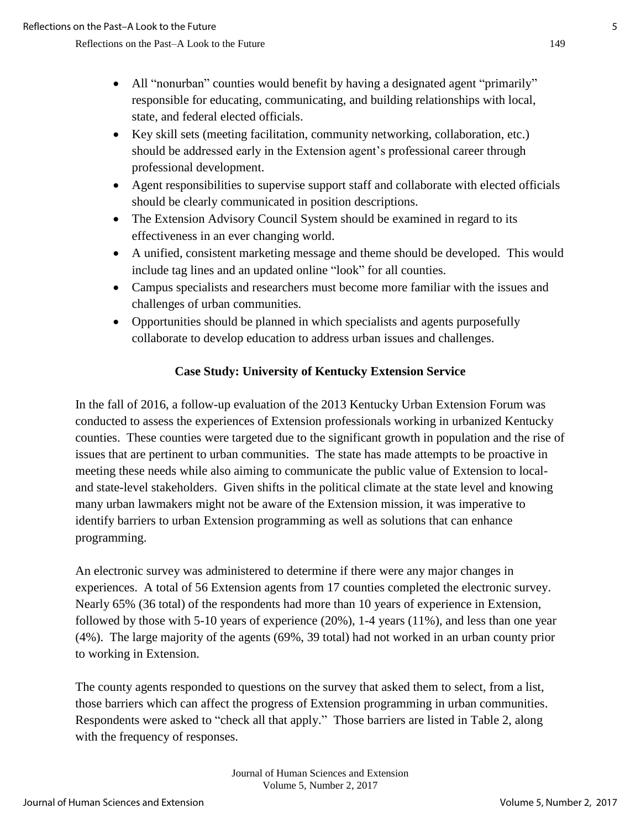- All "nonurban" counties would benefit by having a designated agent "primarily" responsible for educating, communicating, and building relationships with local, state, and federal elected officials.
- Key skill sets (meeting facilitation, community networking, collaboration, etc.) should be addressed early in the Extension agent's professional career through professional development.
- Agent responsibilities to supervise support staff and collaborate with elected officials should be clearly communicated in position descriptions.
- The Extension Advisory Council System should be examined in regard to its effectiveness in an ever changing world.
- A unified, consistent marketing message and theme should be developed. This would include tag lines and an updated online "look" for all counties.
- Campus specialists and researchers must become more familiar with the issues and challenges of urban communities.
- Opportunities should be planned in which specialists and agents purposefully collaborate to develop education to address urban issues and challenges.

# **Case Study: University of Kentucky Extension Service**

In the fall of 2016, a follow-up evaluation of the 2013 Kentucky Urban Extension Forum was conducted to assess the experiences of Extension professionals working in urbanized Kentucky counties. These counties were targeted due to the significant growth in population and the rise of issues that are pertinent to urban communities. The state has made attempts to be proactive in meeting these needs while also aiming to communicate the public value of Extension to localand state-level stakeholders. Given shifts in the political climate at the state level and knowing many urban lawmakers might not be aware of the Extension mission, it was imperative to identify barriers to urban Extension programming as well as solutions that can enhance programming.

An electronic survey was administered to determine if there were any major changes in experiences. A total of 56 Extension agents from 17 counties completed the electronic survey. Nearly 65% (36 total) of the respondents had more than 10 years of experience in Extension, followed by those with 5-10 years of experience (20%), 1-4 years (11%), and less than one year (4%). The large majority of the agents (69%, 39 total) had not worked in an urban county prior to working in Extension.

The county agents responded to questions on the survey that asked them to select, from a list, those barriers which can affect the progress of Extension programming in urban communities. Respondents were asked to "check all that apply." Those barriers are listed in Table 2, along with the frequency of responses.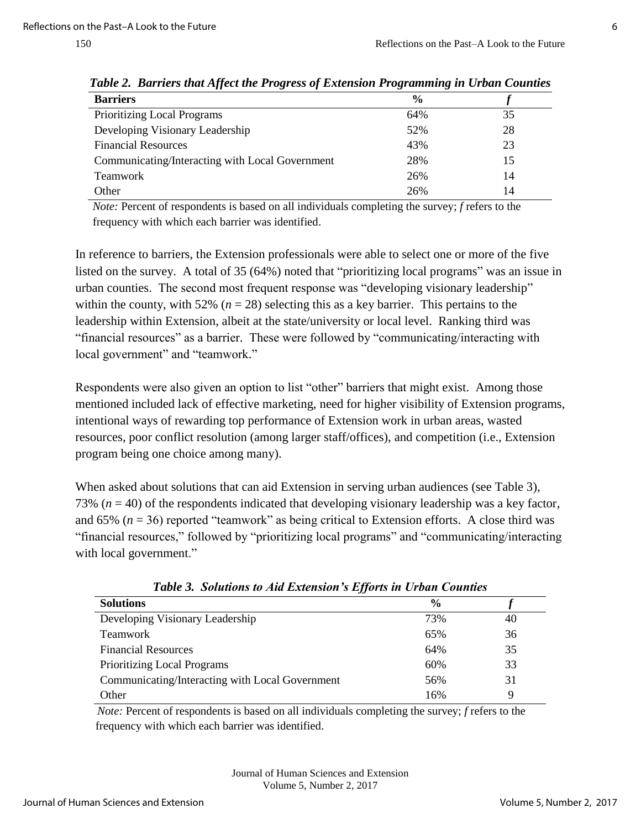| <b>Barriers</b>                                 | $\frac{6}{9}$ |    |
|-------------------------------------------------|---------------|----|
| Prioritizing Local Programs                     | 64%           | 35 |
| Developing Visionary Leadership                 | 52%           | 28 |
| <b>Financial Resources</b>                      | 43%           | 23 |
| Communicating/Interacting with Local Government | 28%           | 15 |
| <b>Teamwork</b>                                 | 26%           | 14 |
| Other                                           | 26%           | 14 |
|                                                 |               |    |

*Table 2. Barriers that Affect the Progress of Extension Programming in Urban Counties* 

 *Note:* Percent of respondents is based on all individuals completing the survey; *f* refers to the frequency with which each barrier was identified.

In reference to barriers, the Extension professionals were able to select one or more of the five listed on the survey. A total of 35 (64%) noted that "prioritizing local programs" was an issue in urban counties. The second most frequent response was "developing visionary leadership" within the county, with 52%  $(n = 28)$  selecting this as a key barrier. This pertains to the leadership within Extension, albeit at the state/university or local level. Ranking third was "financial resources" as a barrier. These were followed by "communicating/interacting with local government" and "teamwork."

Respondents were also given an option to list "other" barriers that might exist. Among those mentioned included lack of effective marketing, need for higher visibility of Extension programs, intentional ways of rewarding top performance of Extension work in urban areas, wasted resources, poor conflict resolution (among larger staff/offices), and competition (i.e., Extension program being one choice among many).

When asked about solutions that can aid Extension in serving urban audiences (see Table 3), 73% (*n* = 40) of the respondents indicated that developing visionary leadership was a key factor, and 65%  $(n = 36)$  reported "teamwork" as being critical to Extension efforts. A close third was "financial resources," followed by "prioritizing local programs" and "communicating/interacting with local government."

| <b>Solutions</b>                                | $\frac{0}{0}$ |    |
|-------------------------------------------------|---------------|----|
| Developing Visionary Leadership                 | 73%           | 40 |
| <b>Teamwork</b>                                 | 65%           | 36 |
| <b>Financial Resources</b>                      | 64%           | 35 |
| <b>Prioritizing Local Programs</b>              | 60%           | 33 |
| Communicating/Interacting with Local Government | 56%           | 31 |
| Other                                           | 16%           | Q  |

*Table 3. Solutions to Aid Extension's Efforts in Urban Counties*

 *Note:* Percent of respondents is based on all individuals completing the survey; *f* refers to the frequency with which each barrier was identified.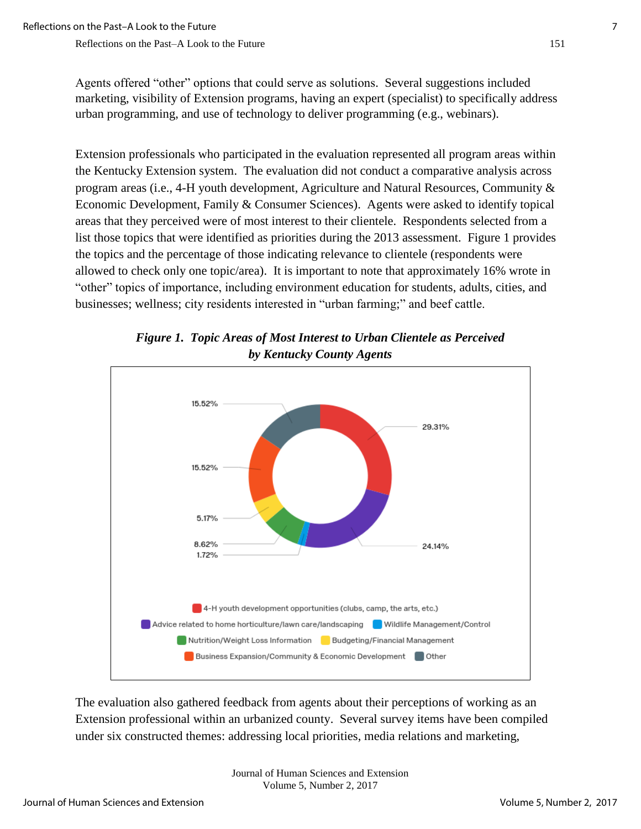Agents offered "other" options that could serve as solutions. Several suggestions included marketing, visibility of Extension programs, having an expert (specialist) to specifically address urban programming, and use of technology to deliver programming (e.g., webinars).

Extension professionals who participated in the evaluation represented all program areas within the Kentucky Extension system. The evaluation did not conduct a comparative analysis across program areas (i.e., 4-H youth development, Agriculture and Natural Resources, Community & Economic Development, Family & Consumer Sciences). Agents were asked to identify topical areas that they perceived were of most interest to their clientele. Respondents selected from a list those topics that were identified as priorities during the 2013 assessment. Figure 1 provides the topics and the percentage of those indicating relevance to clientele (respondents were allowed to check only one topic/area). It is important to note that approximately 16% wrote in "other" topics of importance, including environment education for students, adults, cities, and businesses; wellness; city residents interested in "urban farming;" and beef cattle.



*Figure 1. Topic Areas of Most Interest to Urban Clientele as Perceived by Kentucky County Agents* 

The evaluation also gathered feedback from agents about their perceptions of working as an Extension professional within an urbanized county. Several survey items have been compiled under six constructed themes: addressing local priorities, media relations and marketing,

> Journal of Human Sciences and Extension Volume 5, Number 2, 2017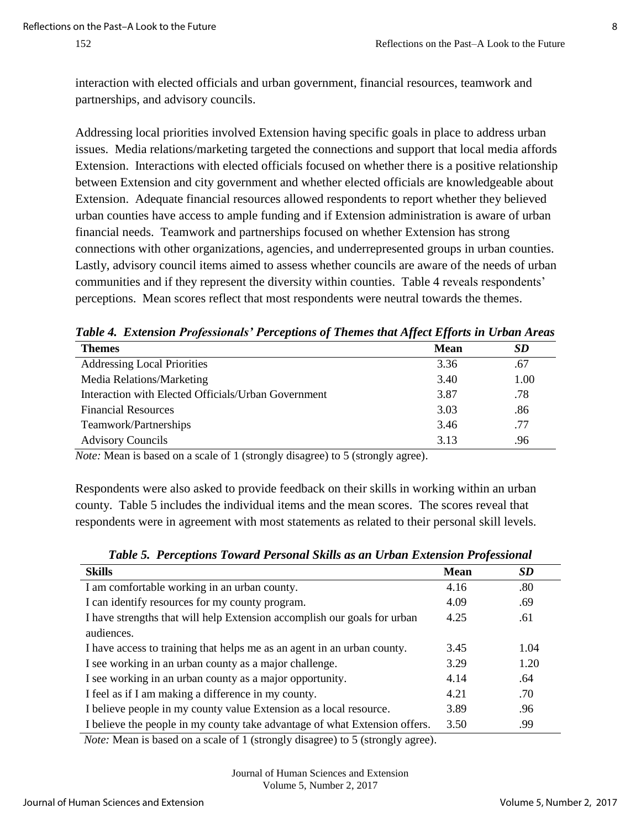interaction with elected officials and urban government, financial resources, teamwork and partnerships, and advisory councils.

Addressing local priorities involved Extension having specific goals in place to address urban issues. Media relations/marketing targeted the connections and support that local media affords Extension. Interactions with elected officials focused on whether there is a positive relationship between Extension and city government and whether elected officials are knowledgeable about Extension. Adequate financial resources allowed respondents to report whether they believed urban counties have access to ample funding and if Extension administration is aware of urban financial needs. Teamwork and partnerships focused on whether Extension has strong connections with other organizations, agencies, and underrepresented groups in urban counties. Lastly, advisory council items aimed to assess whether councils are aware of the needs of urban communities and if they represent the diversity within counties. Table 4 reveals respondents' perceptions. Mean scores reflect that most respondents were neutral towards the themes.

| <b>Themes</b>                                       | <b>Mean</b> | SD   |
|-----------------------------------------------------|-------------|------|
| <b>Addressing Local Priorities</b>                  | 3.36        | .67  |
| Media Relations/Marketing                           | 3.40        | 1.00 |
| Interaction with Elected Officials/Urban Government | 3.87        | .78  |
| <b>Financial Resources</b>                          | 3.03        | .86  |
| Teamwork/Partnerships                               | 3.46        | .77  |
| <b>Advisory Councils</b>                            | 3.13        | .96  |

*Table 4. Extension Professionals' Perceptions of Themes that Affect Efforts in Urban Areas* 

*Note:* Mean is based on a scale of 1 (strongly disagree) to 5 (strongly agree).

Respondents were also asked to provide feedback on their skills in working within an urban county. Table 5 includes the individual items and the mean scores. The scores reveal that respondents were in agreement with most statements as related to their personal skill levels.

| SD<br><b>Mean</b>                                                                         |
|-------------------------------------------------------------------------------------------|
| .80<br>I am comfortable working in an urban county.<br>4.16                               |
| 4.09<br>I can identify resources for my county program.<br>.69                            |
| I have strengths that will help Extension accomplish our goals for urban<br>4.25<br>.61   |
|                                                                                           |
| I have access to training that helps me as an agent in an urban county.<br>1.04<br>3.45   |
| I see working in an urban county as a major challenge.<br>3.29<br>1.20                    |
| I see working in an urban county as a major opportunity.<br>4.14<br>.64                   |
| I feel as if I am making a difference in my county.<br>4.21<br>.70                        |
| I believe people in my county value Extension as a local resource.<br>3.89<br>.96         |
| I believe the people in my county take advantage of what Extension offers.<br>.99<br>3.50 |
|                                                                                           |

*Table 5. Perceptions Toward Personal Skills as an Urban Extension Professional* 

*Note:* Mean is based on a scale of 1 (strongly disagree) to 5 (strongly agree).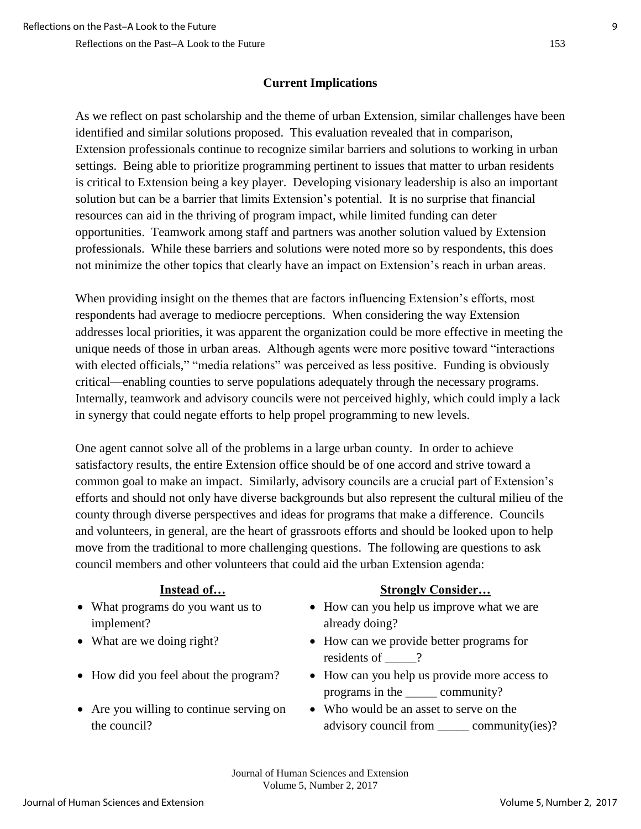# **Current Implications**

As we reflect on past scholarship and the theme of urban Extension, similar challenges have been identified and similar solutions proposed. This evaluation revealed that in comparison, Extension professionals continue to recognize similar barriers and solutions to working in urban settings. Being able to prioritize programming pertinent to issues that matter to urban residents is critical to Extension being a key player. Developing visionary leadership is also an important solution but can be a barrier that limits Extension's potential. It is no surprise that financial resources can aid in the thriving of program impact, while limited funding can deter opportunities. Teamwork among staff and partners was another solution valued by Extension professionals. While these barriers and solutions were noted more so by respondents, this does not minimize the other topics that clearly have an impact on Extension's reach in urban areas.

When providing insight on the themes that are factors influencing Extension's efforts, most respondents had average to mediocre perceptions. When considering the way Extension addresses local priorities, it was apparent the organization could be more effective in meeting the unique needs of those in urban areas. Although agents were more positive toward "interactions with elected officials," "media relations" was perceived as less positive. Funding is obviously critical—enabling counties to serve populations adequately through the necessary programs. Internally, teamwork and advisory councils were not perceived highly, which could imply a lack in synergy that could negate efforts to help propel programming to new levels.

One agent cannot solve all of the problems in a large urban county. In order to achieve satisfactory results, the entire Extension office should be of one accord and strive toward a common goal to make an impact. Similarly, advisory councils are a crucial part of Extension's efforts and should not only have diverse backgrounds but also represent the cultural milieu of the county through diverse perspectives and ideas for programs that make a difference. Councils and volunteers, in general, are the heart of grassroots efforts and should be looked upon to help move from the traditional to more challenging questions. The following are questions to ask council members and other volunteers that could aid the urban Extension agenda:

- What programs do you want us to implement?
- 
- 
- Are you willing to continue serving on the council?

## **Instead of… Strongly Consider…**

- How can you help us improve what we are already doing?
- What are we doing right? How can we provide better programs for residents of  $\qquad$  ?
- How did you feel about the program? How can you help us provide more access to programs in the \_\_\_\_\_ community?
	- Who would be an asset to serve on the advisory council from community(ies)?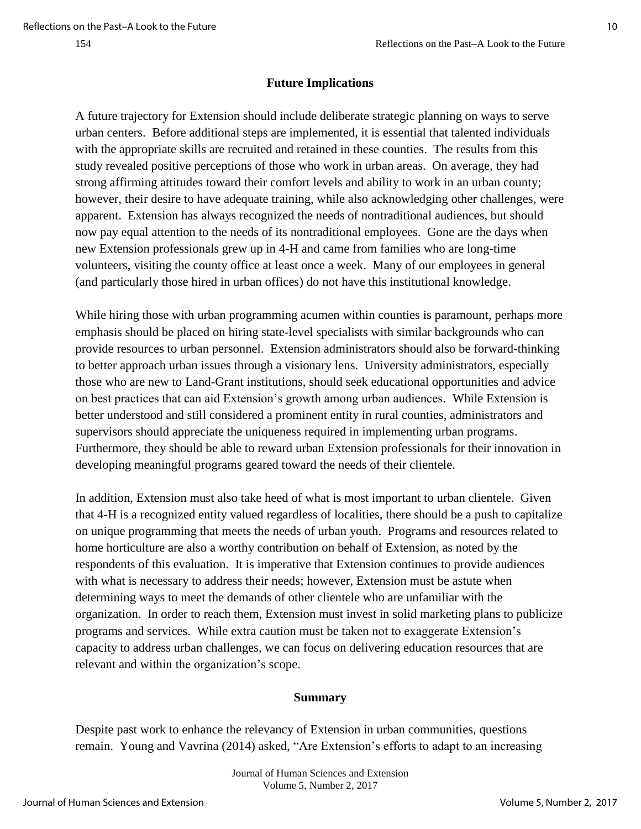#### **Future Implications**

A future trajectory for Extension should include deliberate strategic planning on ways to serve urban centers. Before additional steps are implemented, it is essential that talented individuals with the appropriate skills are recruited and retained in these counties. The results from this study revealed positive perceptions of those who work in urban areas. On average, they had strong affirming attitudes toward their comfort levels and ability to work in an urban county; however, their desire to have adequate training, while also acknowledging other challenges, were apparent. Extension has always recognized the needs of nontraditional audiences, but should now pay equal attention to the needs of its nontraditional employees. Gone are the days when new Extension professionals grew up in 4-H and came from families who are long-time volunteers, visiting the county office at least once a week. Many of our employees in general (and particularly those hired in urban offices) do not have this institutional knowledge.

While hiring those with urban programming acumen within counties is paramount, perhaps more emphasis should be placed on hiring state-level specialists with similar backgrounds who can provide resources to urban personnel. Extension administrators should also be forward-thinking to better approach urban issues through a visionary lens. University administrators, especially those who are new to Land-Grant institutions, should seek educational opportunities and advice on best practices that can aid Extension's growth among urban audiences. While Extension is better understood and still considered a prominent entity in rural counties, administrators and supervisors should appreciate the uniqueness required in implementing urban programs. Furthermore, they should be able to reward urban Extension professionals for their innovation in developing meaningful programs geared toward the needs of their clientele.

In addition, Extension must also take heed of what is most important to urban clientele. Given that 4-H is a recognized entity valued regardless of localities, there should be a push to capitalize on unique programming that meets the needs of urban youth. Programs and resources related to home horticulture are also a worthy contribution on behalf of Extension, as noted by the respondents of this evaluation. It is imperative that Extension continues to provide audiences with what is necessary to address their needs; however, Extension must be astute when determining ways to meet the demands of other clientele who are unfamiliar with the organization. In order to reach them, Extension must invest in solid marketing plans to publicize programs and services. While extra caution must be taken not to exaggerate Extension's capacity to address urban challenges, we can focus on delivering education resources that are relevant and within the organization's scope.

#### **Summary**

Despite past work to enhance the relevancy of Extension in urban communities, questions remain. Young and Vavrina (2014) asked, "Are Extension's efforts to adapt to an increasing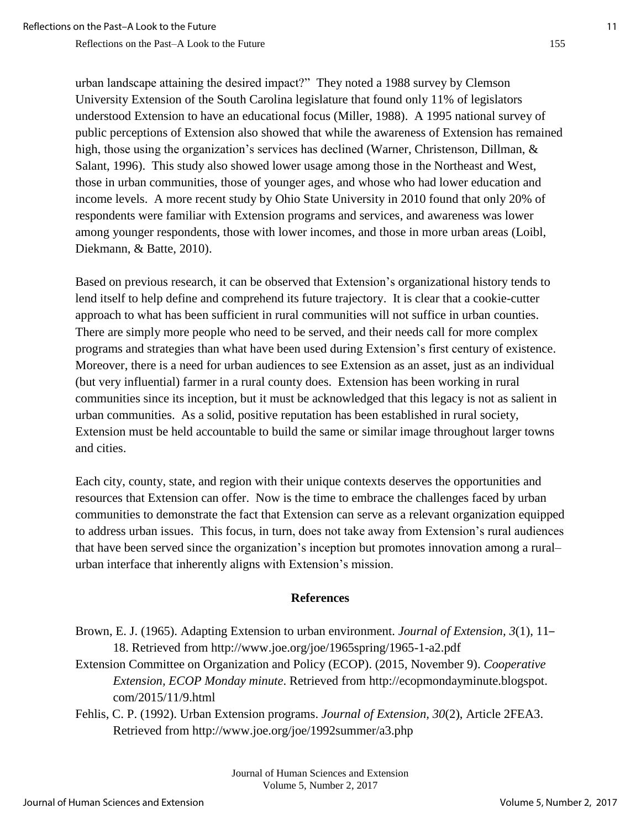urban landscape attaining the desired impact?" They noted a 1988 survey by Clemson University Extension of the South Carolina legislature that found only 11% of legislators understood Extension to have an educational focus (Miller, 1988). A 1995 national survey of public perceptions of Extension also showed that while the awareness of Extension has remained high, those using the organization's services has declined (Warner, Christenson, Dillman, & Salant, 1996). This study also showed lower usage among those in the Northeast and West, those in urban communities, those of younger ages, and whose who had lower education and income levels. A more recent study by Ohio State University in 2010 found that only 20% of respondents were familiar with Extension programs and services, and awareness was lower among younger respondents, those with lower incomes, and those in more urban areas (Loibl, Diekmann, & Batte, 2010).

Based on previous research, it can be observed that Extension's organizational history tends to lend itself to help define and comprehend its future trajectory. It is clear that a cookie-cutter approach to what has been sufficient in rural communities will not suffice in urban counties. There are simply more people who need to be served, and their needs call for more complex programs and strategies than what have been used during Extension's first century of existence. Moreover, there is a need for urban audiences to see Extension as an asset, just as an individual (but very influential) farmer in a rural county does. Extension has been working in rural communities since its inception, but it must be acknowledged that this legacy is not as salient in urban communities. As a solid, positive reputation has been established in rural society, Extension must be held accountable to build the same or similar image throughout larger towns and cities.

Each city, county, state, and region with their unique contexts deserves the opportunities and resources that Extension can offer. Now is the time to embrace the challenges faced by urban communities to demonstrate the fact that Extension can serve as a relevant organization equipped to address urban issues. This focus, in turn, does not take away from Extension's rural audiences that have been served since the organization's inception but promotes innovation among a rural– urban interface that inherently aligns with Extension's mission.

#### **References**

Brown, E. J. (1965). Adapting Extension to urban environment. *Journal of Extension, 3*(1), 11– 18. Retrieved from http://www.joe.org/joe/1965spring/1965-1-a2.pdf

Extension Committee on Organization and Policy (ECOP). (2015, November 9). *Cooperative Extension, ECOP Monday minute*. Retrieved from http://ecopmondayminute.blogspot. com/2015/11/9.html

Fehlis, C. P. (1992). Urban Extension programs. *Journal of Extension, 30*(2), Article 2FEA3. Retrieved from http://www.joe.org/joe/1992summer/a3.php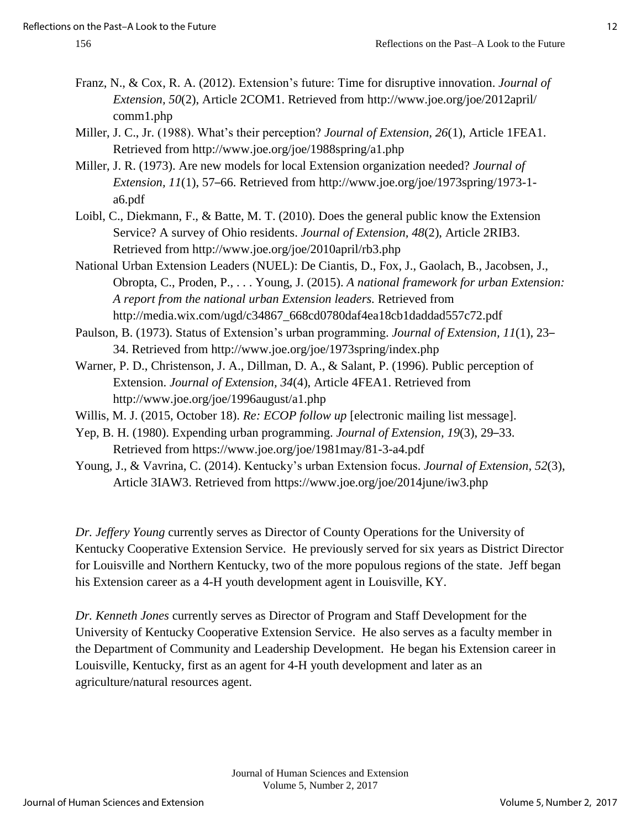- Franz, N., & Cox, R. A. (2012). Extension's future: Time for disruptive innovation. *Journal of Extension, 50*(2), Article 2COM1. Retrieved from http://www.joe.org/joe/2012april/ comm1.php
- Miller, J. C., Jr. (1988). What's their perception? *Journal of Extension, 26*(1), Article 1FEA1. Retrieved from http://www.joe.org/joe/1988spring/a1.php
- Miller, J. R. (1973). Are new models for local Extension organization needed? *Journal of Extension, 11*(1), 57–66. Retrieved from http://www.joe.org/joe/1973spring/1973-1 a6.pdf
- Loibl, C., Diekmann, F., & Batte, M. T. (2010). Does the general public know the Extension Service? A survey of Ohio residents. *Journal of Extension, 48*(2), Article 2RIB3. Retrieved from http://www.joe.org/joe/2010april/rb3.php
- National Urban Extension Leaders (NUEL): De Ciantis, D., Fox, J., Gaolach, B., Jacobsen, J., Obropta, C., Proden, P., . . . Young, J. (2015). *A national framework for urban Extension: A report from the national urban Extension leaders.* Retrieved from http://media.wix.com/ugd/c34867\_668cd0780daf4ea18cb1daddad557c72.pdf
- Paulson, B. (1973). Status of Extension's urban programming. *Journal of Extension, 11*(1), 23– 34. Retrieved from http://www.joe.org/joe/1973spring/index.php
- Warner, P. D., Christenson, J. A., Dillman, D. A., & Salant, P. (1996). Public perception of Extension. *Journal of Extension, 34*(4), Article 4FEA1. Retrieved from http://www.joe.org/joe/1996august/a1.php
- Willis, M. J. (2015, October 18). *Re: ECOP follow up* [electronic mailing list message].
- Yep, B. H. (1980). Expending urban programming. *Journal of Extension, 19*(3), 29–33. Retrieved from https://www.joe.org/joe/1981may/81-3-a4.pdf
- Young, J., & Vavrina, C. (2014). Kentucky's urban Extension focus. *Journal of Extension, 52*(3), Article 3IAW3. Retrieved from https://www.joe.org/joe/2014june/iw3.php

*Dr. Jeffery Young* currently serves as Director of County Operations for the University of Kentucky Cooperative Extension Service. He previously served for six years as District Director for Louisville and Northern Kentucky, two of the more populous regions of the state. Jeff began his Extension career as a 4-H youth development agent in Louisville, KY.

*Dr. Kenneth Jones* currently serves as Director of Program and Staff Development for the University of Kentucky Cooperative Extension Service. He also serves as a faculty member in the Department of Community and Leadership Development. He began his Extension career in Louisville, Kentucky, first as an agent for 4-H youth development and later as an agriculture/natural resources agent.